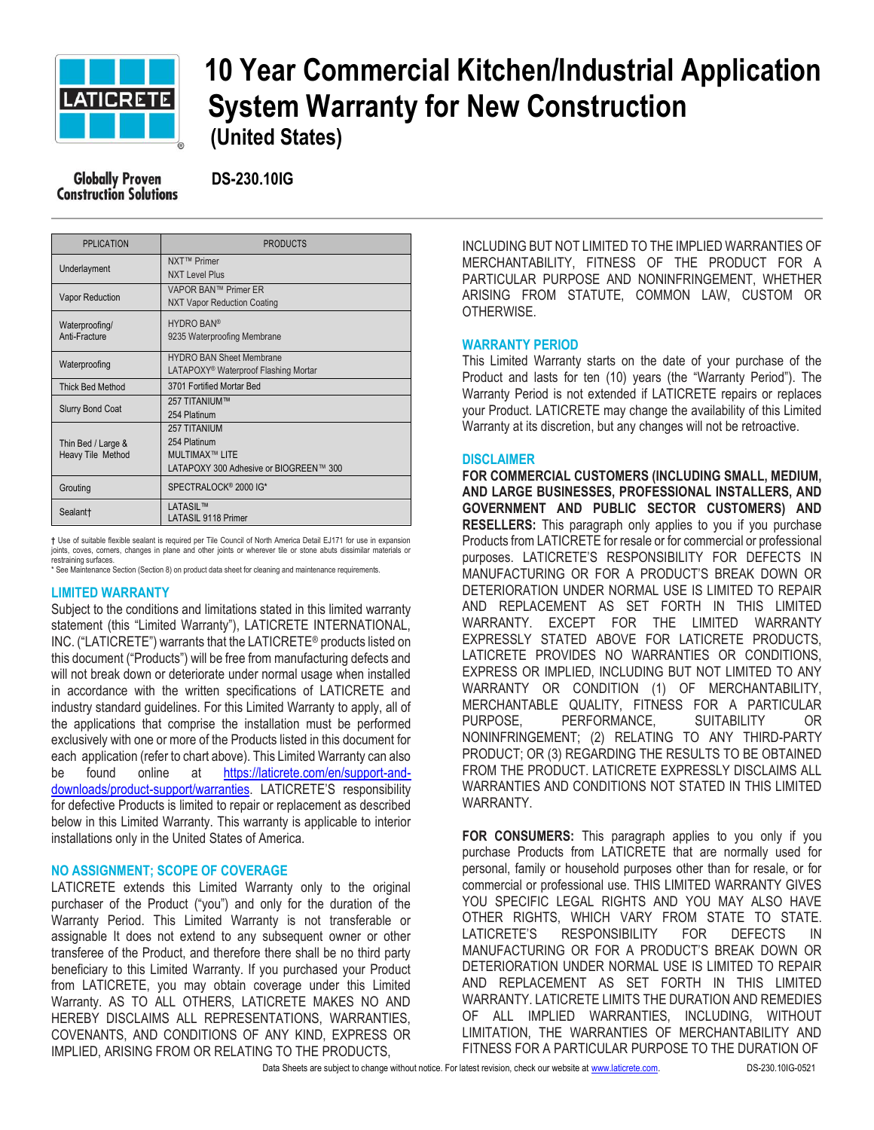

# **10 Year Commercial Kitchen/Industrial Application EATIGRETE** System Warranty for New Construction  **(United States)**

 **DS-230.10IG**

| <b>PPLICATION</b>                       | <b>PRODUCTS</b>                                                                                  |
|-----------------------------------------|--------------------------------------------------------------------------------------------------|
| Underlayment                            | NXT™ Primer<br><b>NXT Level Plus</b>                                                             |
| <b>Vapor Reduction</b>                  | VAPOR BAN™ Primer ER<br><b>NXT Vapor Reduction Coating</b>                                       |
| Waterproofing/<br>Anti-Fracture         | <b>HYDRO BAN®</b><br>9235 Waterproofing Membrane                                                 |
| Waterproofing                           | <b>HYDRO BAN Sheet Membrane</b><br>LATAPOXY <sup>®</sup> Waterproof Flashing Mortar              |
| <b>Thick Bed Method</b>                 | 3701 Fortified Mortar Bed                                                                        |
| <b>Slurry Bond Coat</b>                 | 257 TITANIUM™<br>254 Platinum                                                                    |
| Thin Bed / Large &<br>Heavy Tile Method | <b>257 TITANIUM</b><br>254 Platinum<br>MUI TIMAX™ LITF<br>LATAPOXY 300 Adhesive or BIOGREEN™ 300 |
| Grouting                                | SPECTRALOCK <sup>®</sup> 2000 IG*                                                                |
| Sealant†                                | <b>LATASIL™</b><br><b>LATASIL 9118 Primer</b>                                                    |

**†** Use of suitable flexible sealant is required per Tile Council of North America Detail EJ171 for use in expansion joints, coves, corners, changes in plane and other joints or wherever tile or stone abuts dissimilar materials or restraining surfaces.

\* See Maintenance Section (Section 8) on product data sheet for cleaning and maintenance requirements.

## **LIMITED WARRANTY**

Subject to the conditions and limitations stated in this limited warranty statement (this "Limited Warranty"), LATICRETE INTERNATIONAL, INC. ("LATICRETE") warrants that the LATICRETE® products listed on this document ("Products") will be free from manufacturing defects and will not break down or deteriorate under normal usage when installed in accordance with the written specifications of LATICRETE and industry standard guidelines. For this Limited Warranty to apply, all of the applications that comprise the installation must be performed exclusively with one or more of the Products listed in this document for each application (refer to chart above). This Limited Warranty can also be found online at [https://laticrete.com/en/support-and](https://laticrete.com/en/support-and-downloads/product-support/warranties)[downloads/product-support/warranties](https://laticrete.com/en/support-and-downloads/product-support/warranties). LATICRETE'S responsibility for defective Products is limited to repair or replacement as described below in this Limited Warranty. This warranty is applicable to interior installations only in the United States of America.

#### **NO ASSIGNMENT; SCOPE OF COVERAGE**

LATICRETE extends this Limited Warranty only to the original purchaser of the Product ("you") and only for the duration of the Warranty Period. This Limited Warranty is not transferable or assignable It does not extend to any subsequent owner or other transferee of the Product, and therefore there shall be no third party beneficiary to this Limited Warranty. If you purchased your Product from LATICRETE, you may obtain coverage under this Limited Warranty. AS TO ALL OTHERS, LATICRETE MAKES NO AND HEREBY DISCLAIMS ALL REPRESENTATIONS, WARRANTIES, COVENANTS, AND CONDITIONS OF ANY KIND, EXPRESS OR IMPLIED, ARISING FROM OR RELATING TO THE PRODUCTS,

INCLUDING BUT NOT LIMITED TO THE IMPLIED WARRANTIES OF MERCHANTABILITY, FITNESS OF THE PRODUCT FOR A PARTICULAR PURPOSE AND NONINFRINGEMENT, WHETHER ARISING FROM STATUTE, COMMON LAW, CUSTOM OR OTHERWISE.

#### **WARRANTY PERIOD**

This Limited Warranty starts on the date of your purchase of the Product and lasts for ten (10) years (the "Warranty Period"). The Warranty Period is not extended if LATICRETE repairs or replaces your Product. LATICRETE may change the availability of this Limited Warranty at its discretion, but any changes will not be retroactive.

#### **DISCLAIMER**

**FOR COMMERCIAL CUSTOMERS (INCLUDING SMALL, MEDIUM, AND LARGE BUSINESSES, PROFESSIONAL INSTALLERS, AND GOVERNMENT AND PUBLIC SECTOR CUSTOMERS) AND RESELLERS:** This paragraph only applies to you if you purchase Products from LATICRETE for resale or for commercial or professional purposes. LATICRETE'S RESPONSIBILITY FOR DEFECTS IN MANUFACTURING OR FOR A PRODUCT'S BREAK DOWN OR DETERIORATION UNDER NORMAL USE IS LIMITED TO REPAIR AND REPLACEMENT AS SET FORTH IN THIS LIMITED WARRANTY. EXCEPT FOR THE LIMITED WARRANTY EXPRESSLY STATED ABOVE FOR LATICRETE PRODUCTS, LATICRETE PROVIDES NO WARRANTIES OR CONDITIONS, EXPRESS OR IMPLIED, INCLUDING BUT NOT LIMITED TO ANY WARRANTY OR CONDITION (1) OF MERCHANTABILITY, MERCHANTABLE QUALITY, FITNESS FOR A PARTICULAR PURPOSE, PERFORMANCE, SUITABILITY OR NONINFRINGEMENT; (2) RELATING TO ANY THIRD-PARTY PRODUCT; OR (3) REGARDING THE RESULTS TO BE OBTAINED FROM THE PRODUCT. LATICRETE EXPRESSLY DISCLAIMS ALL WARRANTIES AND CONDITIONS NOT STATED IN THIS LIMITED WARRANTY.

**FOR CONSUMERS:** This paragraph applies to you only if you purchase Products from LATICRETE that are normally used for personal, family or household purposes other than for resale, or for commercial or professional use. THIS LIMITED WARRANTY GIVES YOU SPECIFIC LEGAL RIGHTS AND YOU MAY ALSO HAVE OTHER RIGHTS, WHICH VARY FROM STATE TO STATE. LATICRETE'S RESPONSIBILITY FOR DEFECTS IN MANUFACTURING OR FOR A PRODUCT'S BREAK DOWN OR DETERIORATION UNDER NORMAL USE IS LIMITED TO REPAIR AND REPLACEMENT AS SET FORTH IN THIS LIMITED WARRANTY. LATICRETE LIMITS THE DURATION AND REMEDIES OF ALL IMPLIED WARRANTIES, INCLUDING, WITHOUT LIMITATION, THE WARRANTIES OF MERCHANTABILITY AND FITNESS FOR A PARTICULAR PURPOSE TO THE DURATION OF

Data Sheets are subject to change without notice. For latest revision, check our website a[t www.laticrete.com.](http://www.laticrete.com/) DS-230.10IG-0521